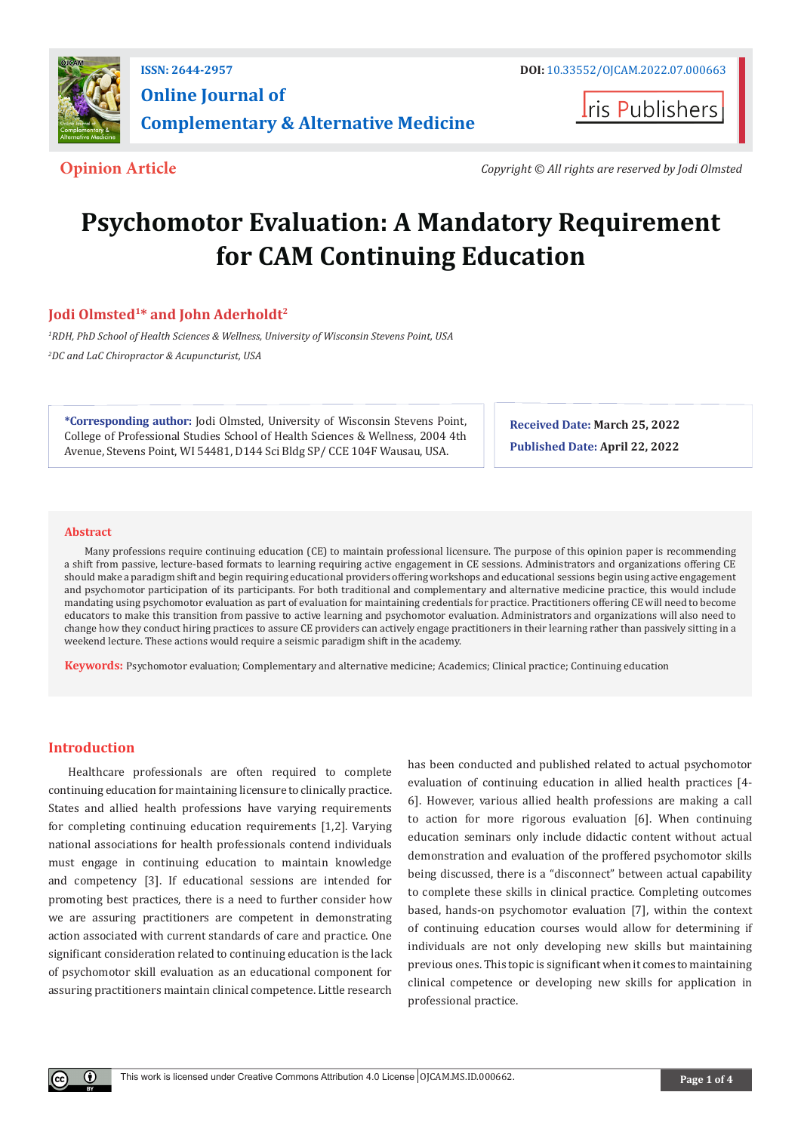

**Iris Publishers** 

**Opinion Article** *Copyright © All rights are reserved by Jodi Olmsted*

# **Psychomotor Evaluation: A Mandatory Requirement for CAM Continuing Education**

# **Jodi Olmsted1\* and John Aderholdt2**

*1 RDH, PhD School of Health Sciences & Wellness, University of Wisconsin Stevens Point, USA 2 DC and LaC Chiropractor & Acupuncturist, USA* 

**\*Corresponding author:** Jodi Olmsted, University of Wisconsin Stevens Point, College of Professional Studies School of Health Sciences & Wellness, 2004 4th Avenue, Stevens Point, WI 54481, D144 Sci Bldg SP/ CCE 104F Wausau, USA.

**Received Date: March 25, 2022 Published Date: April 22, 2022**

#### **Abstract**

Many professions require continuing education (CE) to maintain professional licensure. The purpose of this opinion paper is recommending a shift from passive, lecture-based formats to learning requiring active engagement in CE sessions. Administrators and organizations offering CE should make a paradigm shift and begin requiring educational providers offering workshops and educational sessions begin using active engagement and psychomotor participation of its participants. For both traditional and complementary and alternative medicine practice, this would include mandating using psychomotor evaluation as part of evaluation for maintaining credentials for practice. Practitioners offering CE will need to become educators to make this transition from passive to active learning and psychomotor evaluation. Administrators and organizations will also need to change how they conduct hiring practices to assure CE providers can actively engage practitioners in their learning rather than passively sitting in a weekend lecture. These actions would require a seismic paradigm shift in the academy.

**Keywords:** Psychomotor evaluation; Complementary and alternative medicine; Academics; Clinical practice; Continuing education

# **Introduction**

Healthcare professionals are often required to complete continuing education for maintaining licensure to clinically practice. States and allied health professions have varying requirements for completing continuing education requirements [1,2]. Varying national associations for health professionals contend individuals must engage in continuing education to maintain knowledge and competency [3]. If educational sessions are intended for promoting best practices, there is a need to further consider how we are assuring practitioners are competent in demonstrating action associated with current standards of care and practice. One significant consideration related to continuing education is the lack of psychomotor skill evaluation as an educational component for assuring practitioners maintain clinical competence. Little research has been conducted and published related to actual psychomotor evaluation of continuing education in allied health practices [4- 6]. However, various allied health professions are making a call to action for more rigorous evaluation [6]. When continuing education seminars only include didactic content without actual demonstration and evaluation of the proffered psychomotor skills being discussed, there is a "disconnect" between actual capability to complete these skills in clinical practice. Completing outcomes based, hands-on psychomotor evaluation [7], within the context of continuing education courses would allow for determining if individuals are not only developing new skills but maintaining previous ones. This topic is significant when it comes to maintaining clinical competence or developing new skills for application in professional practice.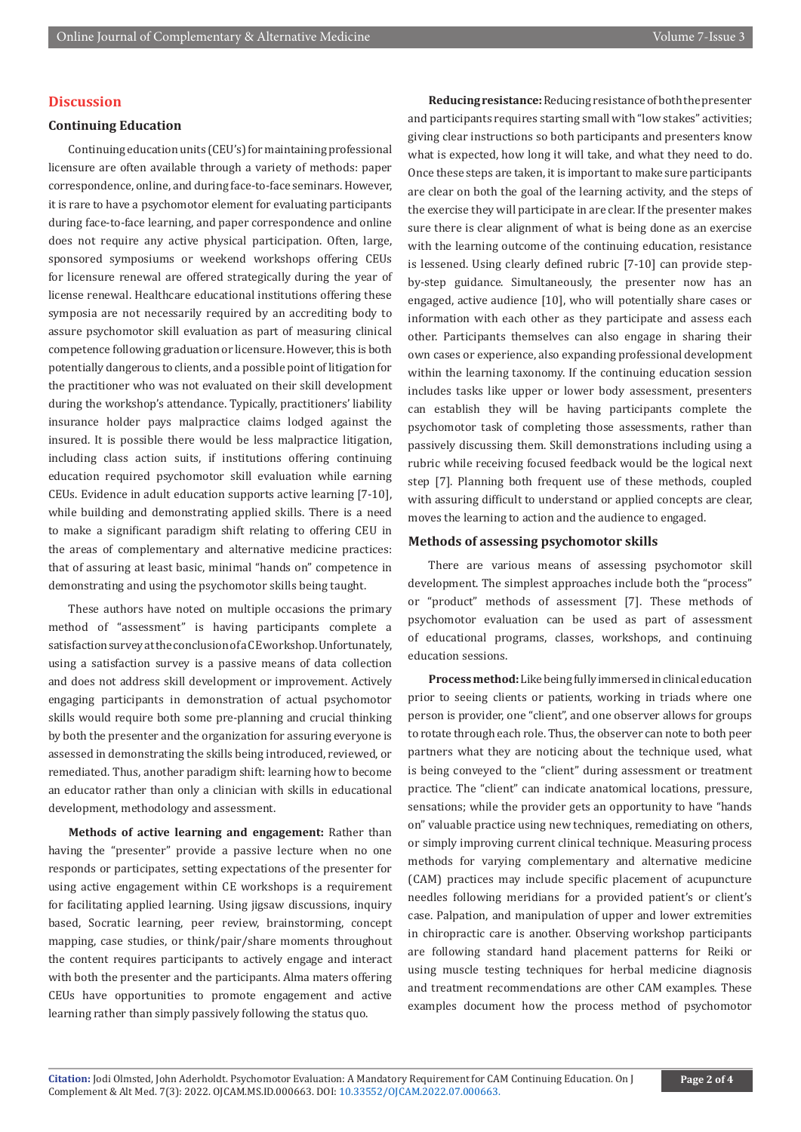# **Discussion**

# **Continuing Education**

Continuing education units (CEU's) for maintaining professional licensure are often available through a variety of methods: paper correspondence, online, and during face-to-face seminars. However, it is rare to have a psychomotor element for evaluating participants during face-to-face learning, and paper correspondence and online does not require any active physical participation. Often, large, sponsored symposiums or weekend workshops offering CEUs for licensure renewal are offered strategically during the year of license renewal. Healthcare educational institutions offering these symposia are not necessarily required by an accrediting body to assure psychomotor skill evaluation as part of measuring clinical competence following graduation or licensure. However, this is both potentially dangerous to clients, and a possible point of litigation for the practitioner who was not evaluated on their skill development during the workshop's attendance. Typically, practitioners' liability insurance holder pays malpractice claims lodged against the insured. It is possible there would be less malpractice litigation, including class action suits, if institutions offering continuing education required psychomotor skill evaluation while earning CEUs. Evidence in adult education supports active learning [7-10], while building and demonstrating applied skills. There is a need to make a significant paradigm shift relating to offering CEU in the areas of complementary and alternative medicine practices: that of assuring at least basic, minimal "hands on" competence in demonstrating and using the psychomotor skills being taught.

These authors have noted on multiple occasions the primary method of "assessment" is having participants complete a satisfaction survey at the conclusion of a CE workshop. Unfortunately, using a satisfaction survey is a passive means of data collection and does not address skill development or improvement. Actively engaging participants in demonstration of actual psychomotor skills would require both some pre-planning and crucial thinking by both the presenter and the organization for assuring everyone is assessed in demonstrating the skills being introduced, reviewed, or remediated. Thus, another paradigm shift: learning how to become an educator rather than only a clinician with skills in educational development, methodology and assessment.

**Methods of active learning and engagement:** Rather than having the "presenter" provide a passive lecture when no one responds or participates, setting expectations of the presenter for using active engagement within CE workshops is a requirement for facilitating applied learning. Using jigsaw discussions, inquiry based, Socratic learning, peer review, brainstorming, concept mapping, case studies, or think/pair/share moments throughout the content requires participants to actively engage and interact with both the presenter and the participants. Alma maters offering CEUs have opportunities to promote engagement and active learning rather than simply passively following the status quo.

**Reducing resistance:** Reducing resistance of both the presenter and participants requires starting small with "low stakes" activities; giving clear instructions so both participants and presenters know what is expected, how long it will take, and what they need to do. Once these steps are taken, it is important to make sure participants are clear on both the goal of the learning activity, and the steps of the exercise they will participate in are clear. If the presenter makes sure there is clear alignment of what is being done as an exercise with the learning outcome of the continuing education, resistance is lessened. Using clearly defined rubric [7-10] can provide stepby-step guidance. Simultaneously, the presenter now has an engaged, active audience [10], who will potentially share cases or information with each other as they participate and assess each other. Participants themselves can also engage in sharing their own cases or experience, also expanding professional development within the learning taxonomy. If the continuing education session includes tasks like upper or lower body assessment, presenters can establish they will be having participants complete the psychomotor task of completing those assessments, rather than passively discussing them. Skill demonstrations including using a rubric while receiving focused feedback would be the logical next step [7]. Planning both frequent use of these methods, coupled with assuring difficult to understand or applied concepts are clear, moves the learning to action and the audience to engaged.

#### **Methods of assessing psychomotor skills**

There are various means of assessing psychomotor skill development. The simplest approaches include both the "process" or "product" methods of assessment [7]. These methods of psychomotor evaluation can be used as part of assessment of educational programs, classes, workshops, and continuing education sessions.

**Process method:** Like being fully immersed in clinical education prior to seeing clients or patients, working in triads where one person is provider, one "client", and one observer allows for groups to rotate through each role. Thus, the observer can note to both peer partners what they are noticing about the technique used, what is being conveyed to the "client" during assessment or treatment practice. The "client" can indicate anatomical locations, pressure, sensations; while the provider gets an opportunity to have "hands on" valuable practice using new techniques, remediating on others, or simply improving current clinical technique. Measuring process methods for varying complementary and alternative medicine (CAM) practices may include specific placement of acupuncture needles following meridians for a provided patient's or client's case. Palpation, and manipulation of upper and lower extremities in chiropractic care is another. Observing workshop participants are following standard hand placement patterns for Reiki or using muscle testing techniques for herbal medicine diagnosis and treatment recommendations are other CAM examples. These examples document how the process method of psychomotor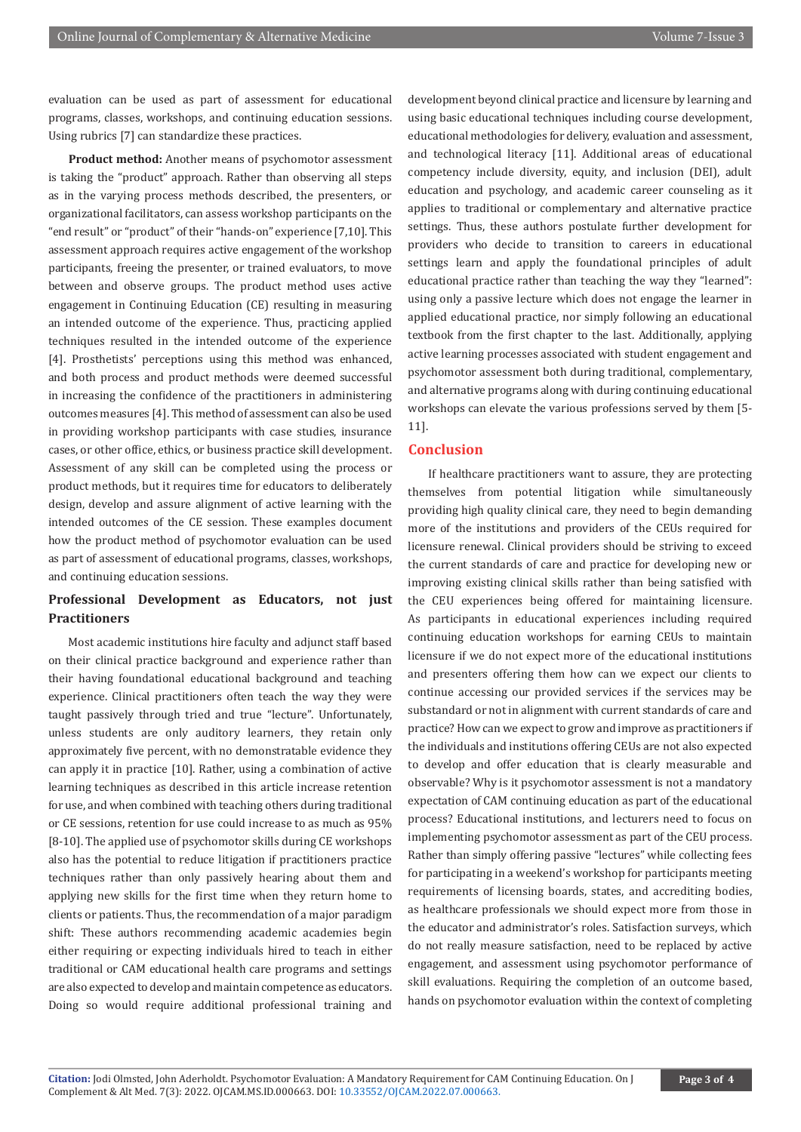evaluation can be used as part of assessment for educational programs, classes, workshops, and continuing education sessions. Using rubrics [7] can standardize these practices.

**Product method:** Another means of psychomotor assessment is taking the "product" approach. Rather than observing all steps as in the varying process methods described, the presenters, or organizational facilitators, can assess workshop participants on the "end result" or "product" of their "hands-on" experience [7,10]. This assessment approach requires active engagement of the workshop participants, freeing the presenter, or trained evaluators, to move between and observe groups. The product method uses active engagement in Continuing Education (CE) resulting in measuring an intended outcome of the experience. Thus, practicing applied techniques resulted in the intended outcome of the experience [4]. Prosthetists' perceptions using this method was enhanced, and both process and product methods were deemed successful in increasing the confidence of the practitioners in administering outcomes measures [4]. This method of assessment can also be used in providing workshop participants with case studies, insurance cases, or other office, ethics, or business practice skill development. Assessment of any skill can be completed using the process or product methods, but it requires time for educators to deliberately design, develop and assure alignment of active learning with the intended outcomes of the CE session. These examples document how the product method of psychomotor evaluation can be used as part of assessment of educational programs, classes, workshops, and continuing education sessions.

# **Professional Development as Educators, not just Practitioners**

Most academic institutions hire faculty and adjunct staff based on their clinical practice background and experience rather than their having foundational educational background and teaching experience. Clinical practitioners often teach the way they were taught passively through tried and true "lecture". Unfortunately, unless students are only auditory learners, they retain only approximately five percent, with no demonstratable evidence they can apply it in practice [10]. Rather, using a combination of active learning techniques as described in this article increase retention for use, and when combined with teaching others during traditional or CE sessions, retention for use could increase to as much as 95% [8-10]. The applied use of psychomotor skills during CE workshops also has the potential to reduce litigation if practitioners practice techniques rather than only passively hearing about them and applying new skills for the first time when they return home to clients or patients. Thus, the recommendation of a major paradigm shift: These authors recommending academic academies begin either requiring or expecting individuals hired to teach in either traditional or CAM educational health care programs and settings are also expected to develop and maintain competence as educators. Doing so would require additional professional training and

development beyond clinical practice and licensure by learning and using basic educational techniques including course development, educational methodologies for delivery, evaluation and assessment, and technological literacy [11]. Additional areas of educational competency include diversity, equity, and inclusion (DEI), adult education and psychology, and academic career counseling as it applies to traditional or complementary and alternative practice settings. Thus, these authors postulate further development for providers who decide to transition to careers in educational settings learn and apply the foundational principles of adult educational practice rather than teaching the way they "learned": using only a passive lecture which does not engage the learner in applied educational practice, nor simply following an educational textbook from the first chapter to the last. Additionally, applying active learning processes associated with student engagement and psychomotor assessment both during traditional, complementary, and alternative programs along with during continuing educational workshops can elevate the various professions served by them [5- 11].

### **Conclusion**

If healthcare practitioners want to assure, they are protecting themselves from potential litigation while simultaneously providing high quality clinical care, they need to begin demanding more of the institutions and providers of the CEUs required for licensure renewal. Clinical providers should be striving to exceed the current standards of care and practice for developing new or improving existing clinical skills rather than being satisfied with the CEU experiences being offered for maintaining licensure. As participants in educational experiences including required continuing education workshops for earning CEUs to maintain licensure if we do not expect more of the educational institutions and presenters offering them how can we expect our clients to continue accessing our provided services if the services may be substandard or not in alignment with current standards of care and practice? How can we expect to grow and improve as practitioners if the individuals and institutions offering CEUs are not also expected to develop and offer education that is clearly measurable and observable? Why is it psychomotor assessment is not a mandatory expectation of CAM continuing education as part of the educational process? Educational institutions, and lecturers need to focus on implementing psychomotor assessment as part of the CEU process. Rather than simply offering passive "lectures" while collecting fees for participating in a weekend's workshop for participants meeting requirements of licensing boards, states, and accrediting bodies, as healthcare professionals we should expect more from those in the educator and administrator's roles. Satisfaction surveys, which do not really measure satisfaction, need to be replaced by active engagement, and assessment using psychomotor performance of skill evaluations. Requiring the completion of an outcome based, hands on psychomotor evaluation within the context of completing